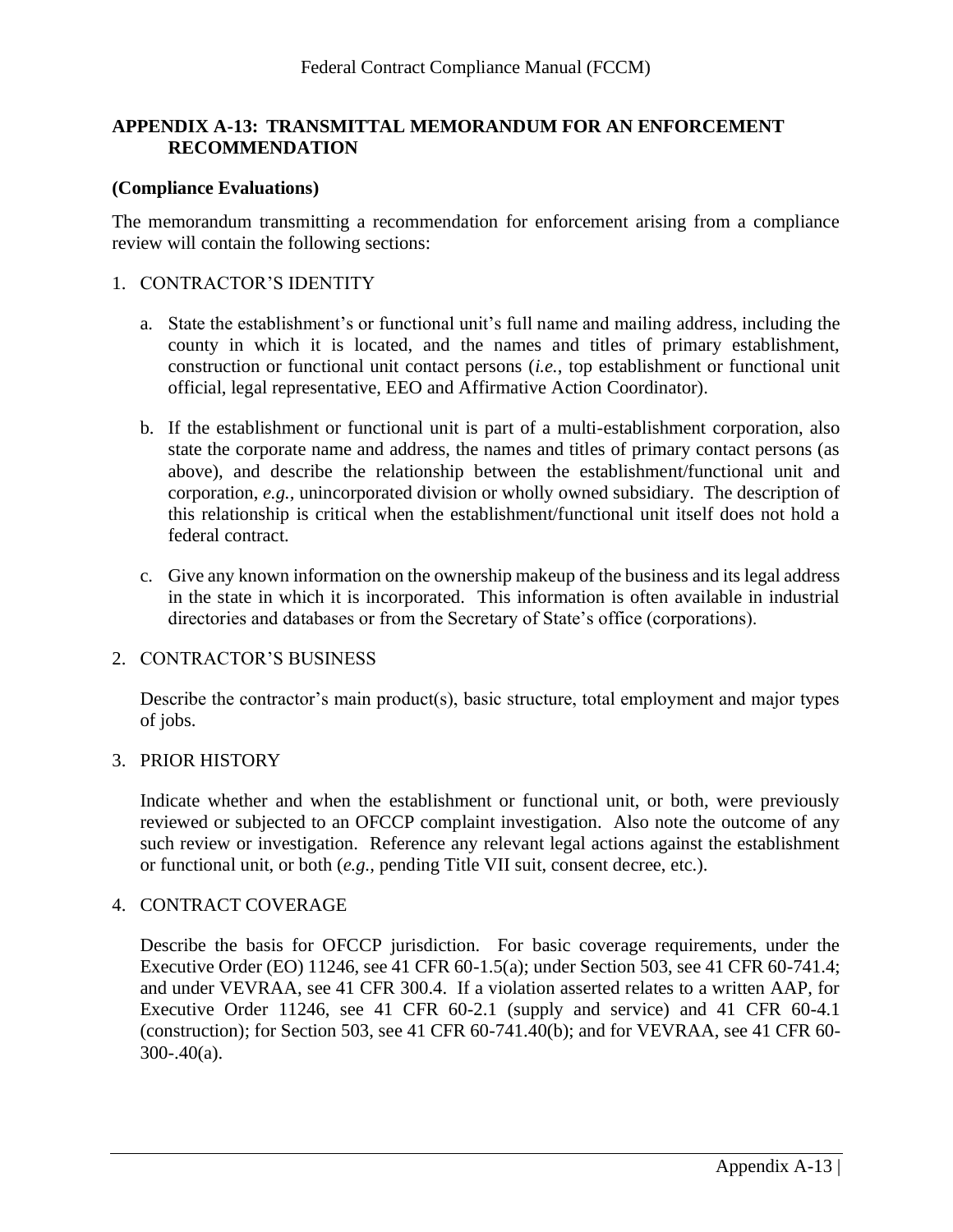# **APPENDIX A-13: TRANSMITTAL MEMORANDUM FOR AN ENFORCEMENT RECOMMENDATION**

### **(Compliance Evaluations)**

The memorandum transmitting a recommendation for enforcement arising from a compliance review will contain the following sections:

### 1. CONTRACTOR'S IDENTITY

- a. State the establishment's or functional unit's full name and mailing address, including the county in which it is located, and the names and titles of primary establishment, construction or functional unit contact persons (*i.e.*, top establishment or functional unit official, legal representative, EEO and Affirmative Action Coordinator).
- b. If the establishment or functional unit is part of a multi-establishment corporation, also state the corporate name and address, the names and titles of primary contact persons (as above), and describe the relationship between the establishment/functional unit and corporation, *e.g.,* unincorporated division or wholly owned subsidiary. The description of this relationship is critical when the establishment/functional unit itself does not hold a federal contract.
- c. Give any known information on the ownership makeup of the business and its legal address in the state in which it is incorporated. This information is often available in industrial directories and databases or from the Secretary of State's office (corporations).

#### 2. CONTRACTOR'S BUSINESS

Describe the contractor's main product(s), basic structure, total employment and major types of jobs.

#### 3. PRIOR HISTORY

Indicate whether and when the establishment or functional unit, or both, were previously reviewed or subjected to an OFCCP complaint investigation. Also note the outcome of any such review or investigation. Reference any relevant legal actions against the establishment or functional unit, or both (*e.g.,* pending Title VII suit, consent decree, etc.).

#### 4. CONTRACT COVERAGE

Describe the basis for OFCCP jurisdiction. For basic coverage requirements, under the Executive Order (EO) 11246, see 41 CFR 60-1.5(a); under Section 503, see 41 CFR 60-741.4; and under VEVRAA, see 41 CFR 300.4. If a violation asserted relates to a written AAP, for Executive Order 11246, see 41 CFR 60-2.1 (supply and service) and 41 CFR 60-4.1 (construction); for Section 503, see 41 CFR 60-741.40(b); and for VEVRAA, see 41 CFR 60-300-.40(a).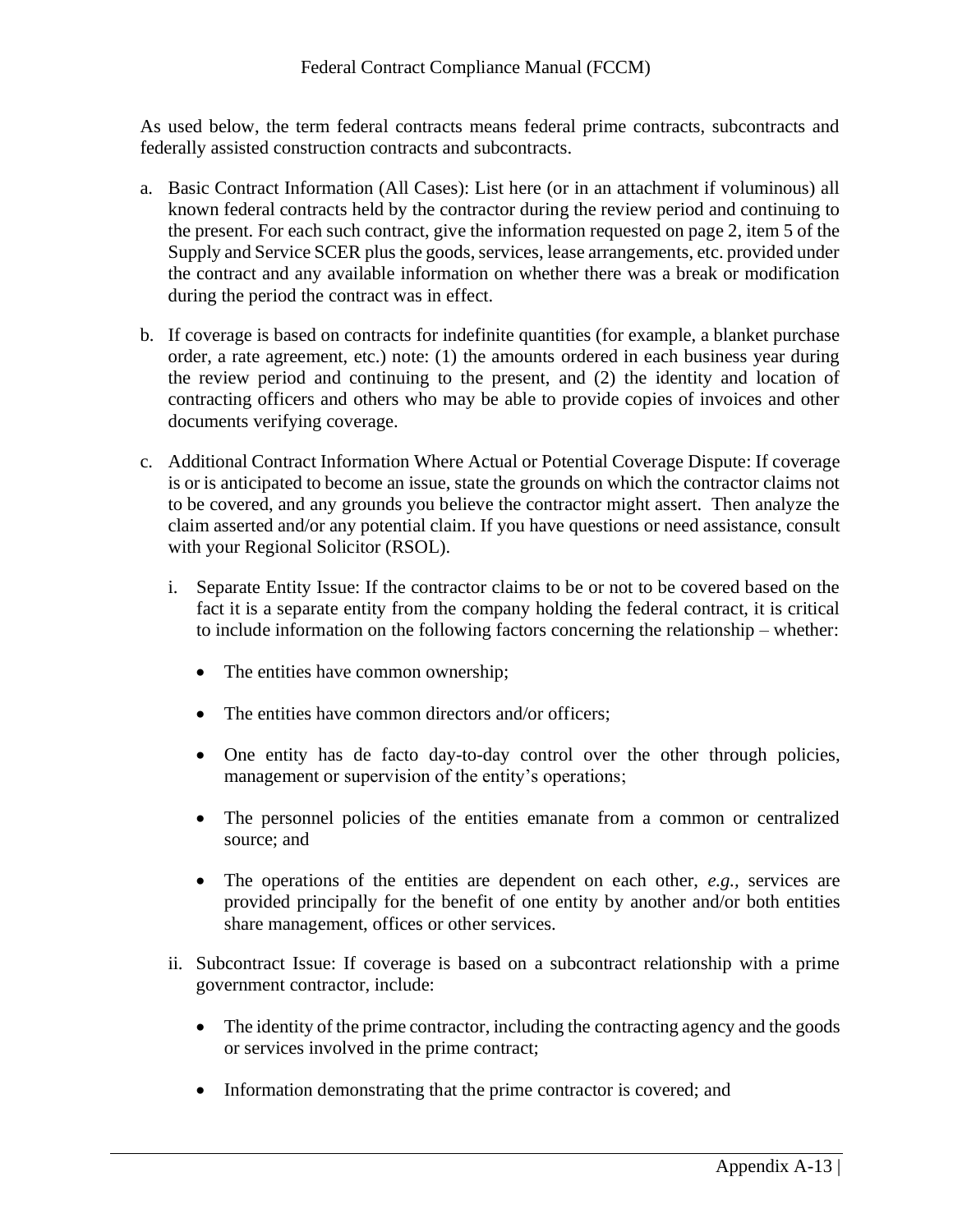As used below, the term federal contracts means federal prime contracts, subcontracts and federally assisted construction contracts and subcontracts.

- a. Basic Contract Information (All Cases): List here (or in an attachment if voluminous) all known federal contracts held by the contractor during the review period and continuing to the present. For each such contract, give the information requested on page 2, item 5 of the Supply and Service SCER plus the goods, services, lease arrangements, etc. provided under the contract and any available information on whether there was a break or modification during the period the contract was in effect.
- b. If coverage is based on contracts for indefinite quantities (for example, a blanket purchase order, a rate agreement, etc.) note: (1) the amounts ordered in each business year during the review period and continuing to the present, and (2) the identity and location of contracting officers and others who may be able to provide copies of invoices and other documents verifying coverage.
- c. Additional Contract Information Where Actual or Potential Coverage Dispute: If coverage is or is anticipated to become an issue, state the grounds on which the contractor claims not to be covered, and any grounds you believe the contractor might assert. Then analyze the claim asserted and/or any potential claim. If you have questions or need assistance, consult with your Regional Solicitor (RSOL).
	- i. Separate Entity Issue: If the contractor claims to be or not to be covered based on the fact it is a separate entity from the company holding the federal contract, it is critical to include information on the following factors concerning the relationship – whether:
		- The entities have common ownership;
		- The entities have common directors and/or officers;
		- One entity has de facto day-to-day control over the other through policies, management or supervision of the entity's operations;
		- The personnel policies of the entities emanate from a common or centralized source; and
		- The operations of the entities are dependent on each other, *e.g.,* services are provided principally for the benefit of one entity by another and/or both entities share management, offices or other services.
	- ii. Subcontract Issue: If coverage is based on a subcontract relationship with a prime government contractor, include:
		- The identity of the prime contractor, including the contracting agency and the goods or services involved in the prime contract;
		- Information demonstrating that the prime contractor is covered; and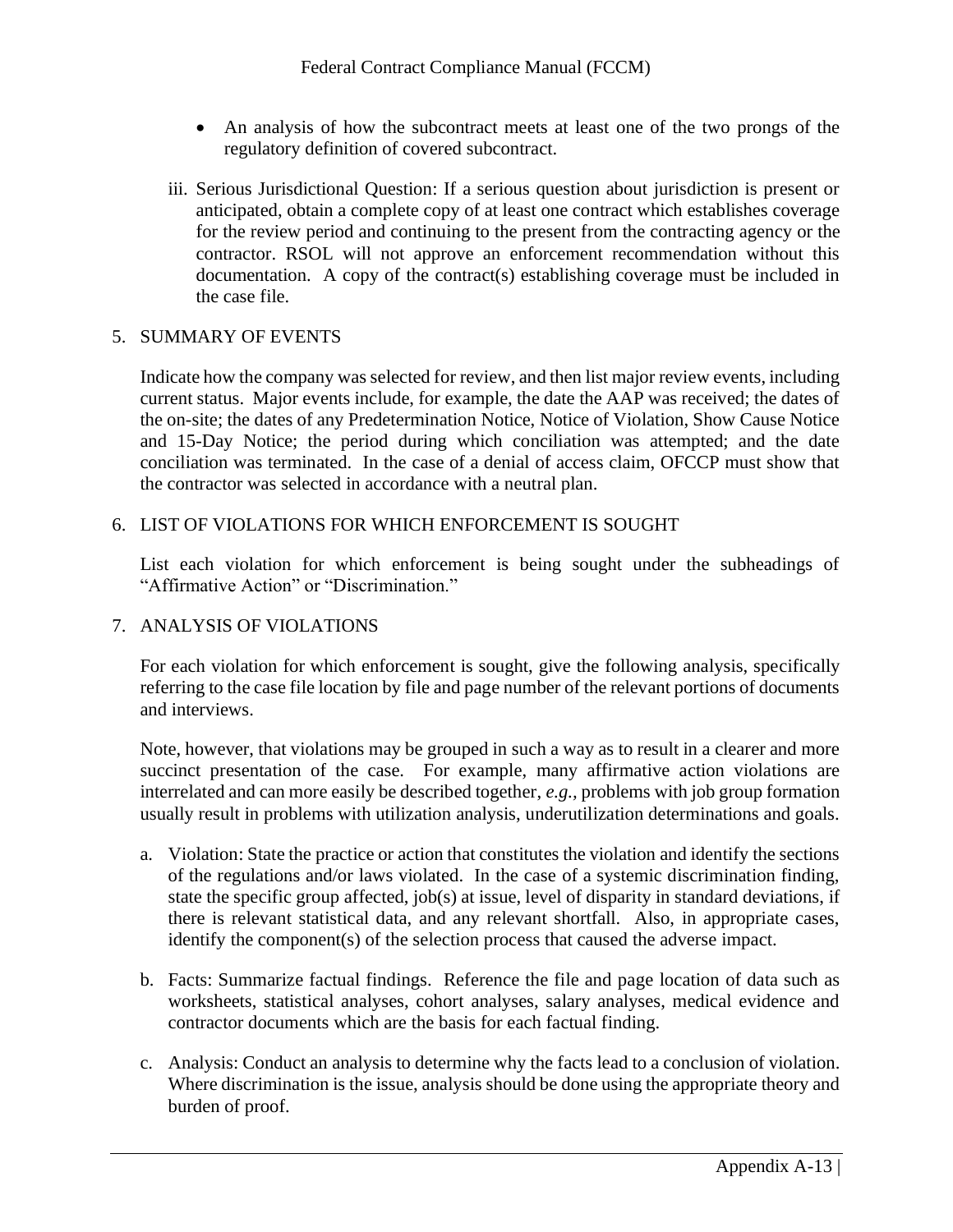- An analysis of how the subcontract meets at least one of the two prongs of the regulatory definition of covered subcontract.
- iii. Serious Jurisdictional Question: If a serious question about jurisdiction is present or anticipated, obtain a complete copy of at least one contract which establishes coverage for the review period and continuing to the present from the contracting agency or the contractor. RSOL will not approve an enforcement recommendation without this documentation. A copy of the contract(s) establishing coverage must be included in the case file.

# 5. SUMMARY OF EVENTS

Indicate how the company was selected for review, and then list major review events, including current status. Major events include, for example, the date the AAP was received; the dates of the on-site; the dates of any Predetermination Notice, Notice of Violation, Show Cause Notice and 15-Day Notice; the period during which conciliation was attempted; and the date conciliation was terminated. In the case of a denial of access claim, OFCCP must show that the contractor was selected in accordance with a neutral plan.

6. LIST OF VIOLATIONS FOR WHICH ENFORCEMENT IS SOUGHT

List each violation for which enforcement is being sought under the subheadings of "Affirmative Action" or "Discrimination."

### 7. ANALYSIS OF VIOLATIONS

For each violation for which enforcement is sought, give the following analysis, specifically referring to the case file location by file and page number of the relevant portions of documents and interviews.

Note, however, that violations may be grouped in such a way as to result in a clearer and more succinct presentation of the case. For example, many affirmative action violations are interrelated and can more easily be described together, *e.g.,* problems with job group formation usually result in problems with utilization analysis, underutilization determinations and goals.

- a. Violation: State the practice or action that constitutes the violation and identify the sections of the regulations and/or laws violated. In the case of a systemic discrimination finding, state the specific group affected, job(s) at issue, level of disparity in standard deviations, if there is relevant statistical data, and any relevant shortfall. Also, in appropriate cases, identify the component(s) of the selection process that caused the adverse impact.
- b. Facts: Summarize factual findings. Reference the file and page location of data such as worksheets, statistical analyses, cohort analyses, salary analyses, medical evidence and contractor documents which are the basis for each factual finding.
- c. Analysis: Conduct an analysis to determine why the facts lead to a conclusion of violation. Where discrimination is the issue, analysis should be done using the appropriate theory and burden of proof.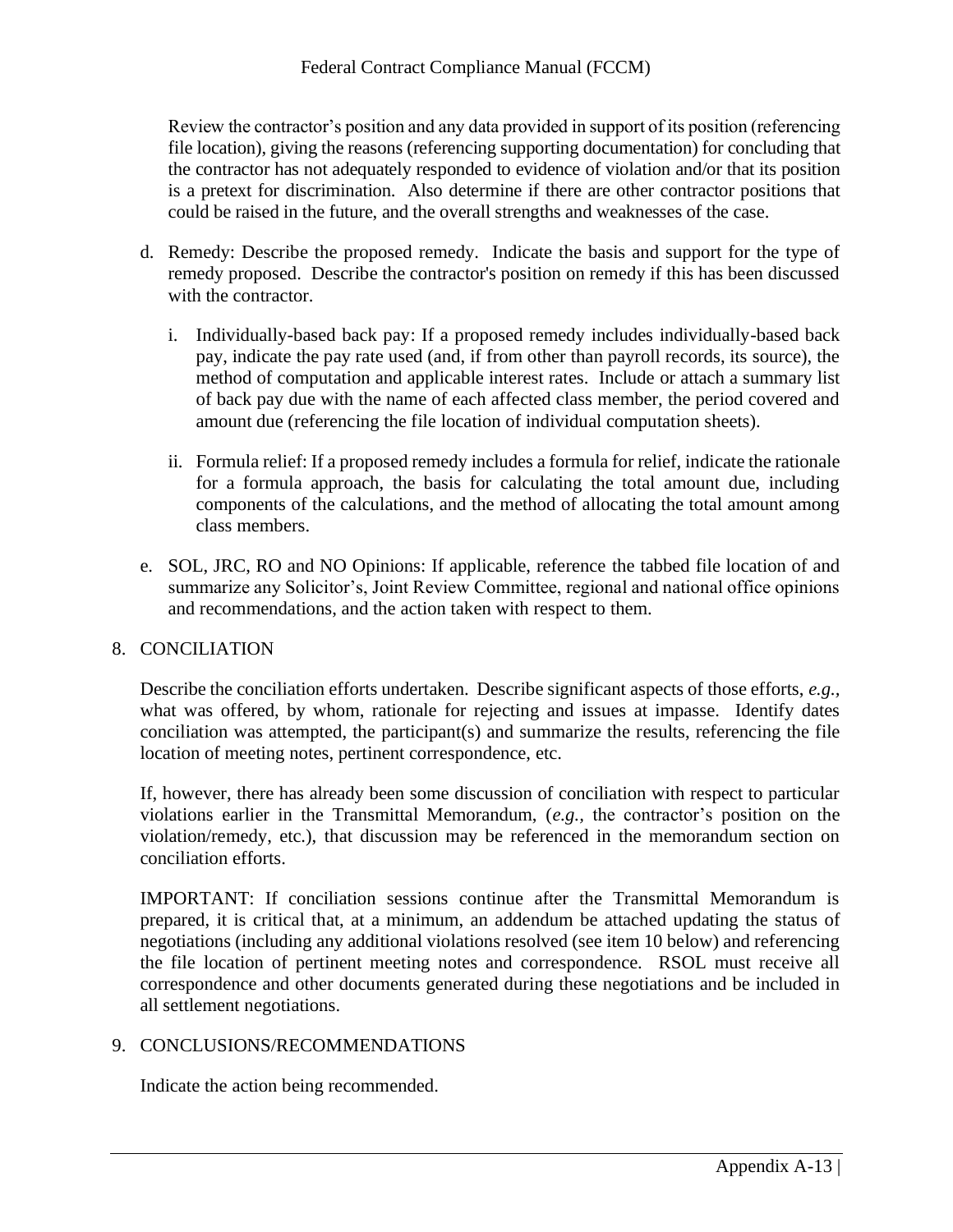Review the contractor's position and any data provided in support of its position (referencing file location), giving the reasons (referencing supporting documentation) for concluding that the contractor has not adequately responded to evidence of violation and/or that its position is a pretext for discrimination. Also determine if there are other contractor positions that could be raised in the future, and the overall strengths and weaknesses of the case.

- d. Remedy: Describe the proposed remedy. Indicate the basis and support for the type of remedy proposed. Describe the contractor's position on remedy if this has been discussed with the contractor.
	- i. Individually-based back pay: If a proposed remedy includes individually-based back pay, indicate the pay rate used (and, if from other than payroll records, its source), the method of computation and applicable interest rates. Include or attach a summary list of back pay due with the name of each affected class member, the period covered and amount due (referencing the file location of individual computation sheets).
	- ii. Formula relief: If a proposed remedy includes a formula for relief, indicate the rationale for a formula approach, the basis for calculating the total amount due, including components of the calculations, and the method of allocating the total amount among class members.
- e. SOL, JRC, RO and NO Opinions: If applicable, reference the tabbed file location of and summarize any Solicitor's, Joint Review Committee, regional and national office opinions and recommendations, and the action taken with respect to them.

# 8. CONCILIATION

Describe the conciliation efforts undertaken. Describe significant aspects of those efforts, *e.g.,* what was offered, by whom, rationale for rejecting and issues at impasse. Identify dates conciliation was attempted, the participant(s) and summarize the results, referencing the file location of meeting notes, pertinent correspondence, etc.

If, however, there has already been some discussion of conciliation with respect to particular violations earlier in the Transmittal Memorandum, (*e.g.,* the contractor's position on the violation/remedy, etc.), that discussion may be referenced in the memorandum section on conciliation efforts.

IMPORTANT: If conciliation sessions continue after the Transmittal Memorandum is prepared, it is critical that, at a minimum, an addendum be attached updating the status of negotiations (including any additional violations resolved (see item 10 below) and referencing the file location of pertinent meeting notes and correspondence. RSOL must receive all correspondence and other documents generated during these negotiations and be included in all settlement negotiations.

# 9. CONCLUSIONS/RECOMMENDATIONS

Indicate the action being recommended.